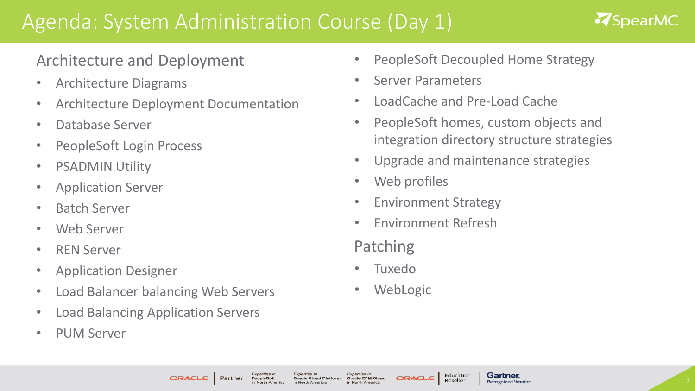# Agenda: System Administration Course (Day 1)

## **ASpearMC**

## Architecture and Deployment

- Architecture Diagrams
- Architecture Deployment Documentation
- Database Server
- PeopleSoft Login Process
- PSADMIN Utility
- Application Server
- Batch Server
- Web Server
- REN Server
- Application Designer
- Load Balancer balancing Web Servers
- Load Balancing Application Servers
- PUM Server
- PeopleSoft Decoupled Home Strategy
- Server Parameters
- LoadCache and Pre-Load Cache
- PeopleSoft homes, custom objects and integration directory structure strategies

Gartner

Recognized Vendo

- Upgrade and maintenance strategies
- Web profiles
- Environment Strategy
- Environment Refresh

#### Patching

- Tuxedo
- **WebLogic**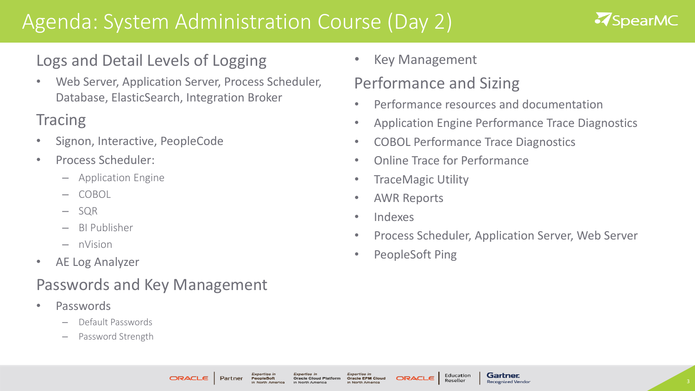# Agenda: System Administration Course (Day 2)



#### Logs and Detail Levels of Logging

• Web Server, Application Server, Process Scheduler, Database, ElasticSearch, Integration Broker

## **Tracing**

- Signon, Interactive, PeopleCode
- Process Scheduler:
	- Application Engine
	- COBOL
	- SQR
	- BI Publisher
	- nVision
- AE Log Analyzer

## Passwords and Key Management

- Passwords
	- Default Passwords
	- Password Strength

• Key Management

## Performance and Sizing

- Performance resources and documentation
- Application Engine Performance Trace Diagnostics
- COBOL Performance Trace Diagnostics
- Online Trace for Performance
- TraceMagic Utility
- AWR Reports
- Indexes
- Process Scheduler, Application Server, Web Server
- PeopleSoft Ping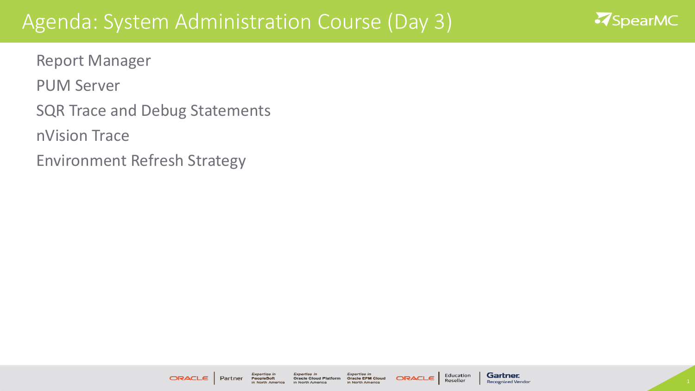## Agenda: System Administration Course (Day 3)



Report Manager

PUM Server

SQR Trace and Debug Statements

nVision Trace

Environment Refresh Strategy

**ORACLE** 

Partner

Expertise li Expertise in **Oracle Cloud Platform** PeopleSoft in North America in North America

Expertise in **Oracle EPM Cloud** in North America

**ORACL** 

Education **Gartner** Reseller **Recognized Vendor**